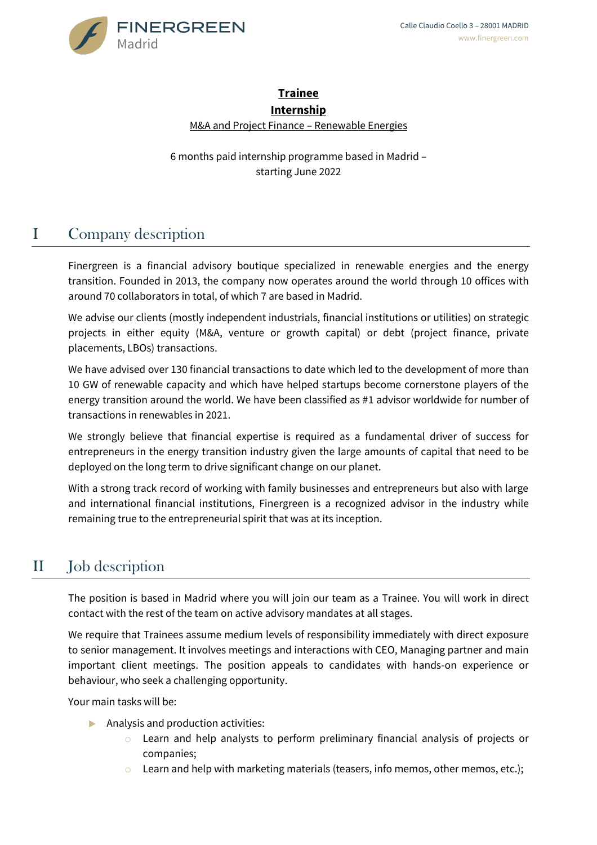

#### **Trainee Internship**

M&A and Project Finance – Renewable Energies

6 months paid internship programme based in Madrid – starting June 2022

# I Company description

Finergreen is a financial advisory boutique specialized in renewable energies and the energy transition. Founded in 2013, the company now operates around the world through 10 offices with around 70 collaborators in total, of which 7 are based in Madrid.

We advise our clients (mostly independent industrials, financial institutions or utilities) on strategic projects in either equity (M&A, venture or growth capital) or debt (project finance, private placements, LBOs) transactions.

We have advised over 130 financial transactions to date which led to the development of more than 10 GW of renewable capacity and which have helped startups become cornerstone players of the energy transition around the world. We have been classified as #1 advisor worldwide for number of transactions in renewables in 2021.

We strongly believe that financial expertise is required as a fundamental driver of success for entrepreneurs in the energy transition industry given the large amounts of capital that need to be deployed on the long term to drive significant change on our planet.

With a strong track record of working with family businesses and entrepreneurs but also with large and international financial institutions, Finergreen is a recognized advisor in the industry while remaining true to the entrepreneurial spirit that was at its inception.

## II Job description

The position is based in Madrid where you will join our team as a Trainee. You will work in direct contact with the rest of the team on active advisory mandates at all stages.

We require that Trainees assume medium levels of responsibility immediately with direct exposure to senior management. It involves meetings and interactions with CEO, Managing partner and main important client meetings. The position appeals to candidates with hands-on experience or behaviour, who seek a challenging opportunity.

Your main tasks will be:

- Analysis and production activities:
	- $\circ$  Learn and help analysts to perform preliminary financial analysis of projects or companies;
	- Learn and help with marketing materials (teasers, info memos, other memos, etc.);